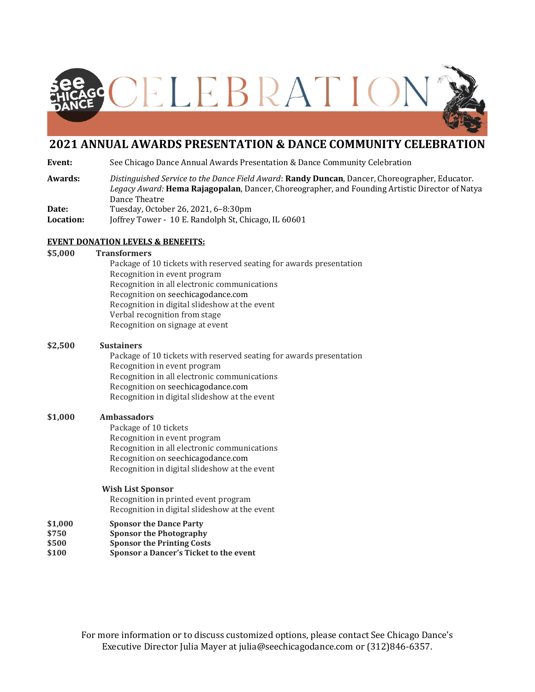

## **2021 ANNUAL AWARDS PRESENTATION & DANCE COMMUNITY CELEBRATION**

**Event:** See Chicago Dance Annual Awards Presentation & Dance Community Celebration

- **Awards:** *Distinguished Service to the Dance Field Award*: **Randy Duncan**, Dancer, Choreographer, Educator. *Legacy Award:* **Hema Rajagopalan**, Dancer, Choreographer, and Founding Artistic Director of Natya Dance Theatre **Date:** Tuesday, October 26, 2021, 6–8:30pm
- **Location:** Joffrey Tower -10 E. Randolph St, Chicago, IL 60601

### **EVENT DONATION LEVELS & BENEFITS:**

**\$5,000 Transformers**

Package of 10 tickets with reserved seating for awards presentation Recognition in event program Recognition in all electronic communications Recognition on seechicagodance.com Recognition in digital slideshow at the event Verbal recognition from stage Recognition on signage at event

### **\$2,500 Sustainers**

Package of 10 tickets with reserved seating for awards presentation Recognition in event program Recognition in all electronic communications Recognition on seechicagodance.com Recognition in digital slideshow at the event

### **\$1,000 Ambassadors**

Package of 10 tickets Recognition in event program Recognition in all electronic communications Recognition on seechicagodance.com Recognition in digital slideshow at the event

### **Wish List Sponsor**

Recognition in printed event program Recognition in digital slideshow at the event

- **\$1,000 Sponsor the Dance Party**
- **\$750 Sponsor the Photography**
- **\$500 Sponsor the Printing Costs**
- **\$100 Sponsor a Dancer's Ticket to the event**

For more information or to discuss customized options, please contact See Chicago Dance's Executive Director Julia Mayer at julia@seechicagodance.com or (312)846-6357.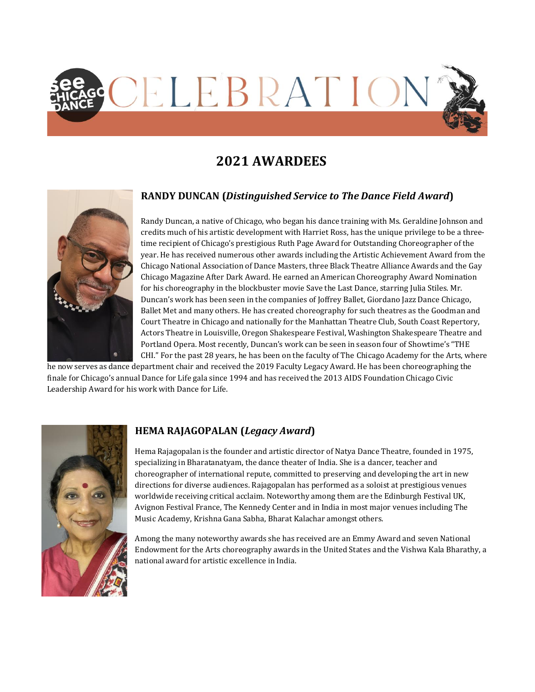

# **2021 AWARDEES**



# **RANDY DUNCAN (***Distinguished Service to The Dance Field Award***)**

Randy Duncan, a native of Chicago, who began his dance training with Ms. Geraldine Johnson and credits much of his artistic development with Harriet Ross, has the unique privilege to be a threetime recipient of Chicago's prestigious Ruth Page Award for Outstanding Choreographer of the year. He has received numerous other awards including the Artistic Achievement Award from the Chicago National Association of Dance Masters, three Black Theatre Alliance Awards and the Gay Chicago Magazine After Dark Award. He earned an American Choreography Award Nomination for his choreography in the blockbuster movie Save the Last Dance, starring Julia Stiles. Mr. Duncan's work has been seen in the companies of Joffrey Ballet, Giordano Jazz Dance Chicago, Ballet Met and many others. He has created choreography for such theatres as the Goodman and Court Theatre in Chicago and nationally for the Manhattan Theatre Club, South Coast Repertory, Actors Theatre in Louisville, Oregon Shakespeare Festival, Washington Shakespeare Theatre and Portland Opera. Most recently, Duncan's work can be seen in season four of Showtime's "THE CHI." For the past 28 years, he has been on the faculty of The Chicago Academy for the Arts, where

he now serves as dance department chair and received the 2019 Faculty Legacy Award. He has been choreographing the finale for Chicago's annual Dance for Life gala since 1994 and has received the 2013 AIDS Foundation Chicago Civic Leadership Award for his work with Dance for Life.



### **HEMA RAJAGOPALAN (***Legacy Award***)**

Hema Rajagopalan is the founder and artistic director of Natya Dance Theatre, founded in 1975, specializing in Bharatanatyam, the dance theater of India. She is a dancer, teacher and choreographer of international repute, committed to preserving and developing the art in new directions for diverse audiences. Rajagopalan has performed as a soloist at prestigious venues worldwide receiving critical acclaim. Noteworthy among them are the Edinburgh Festival UK, Avignon Festival France, The Kennedy Center and in India in most major venues including The Music Academy, Krishna Gana Sabha, Bharat Kalachar amongst others.

Among the many noteworthy awards she has received are an Emmy Award and seven National Endowment for the Arts choreography awards in the United States and the Vishwa Kala Bharathy, a national award for artistic excellence in India.